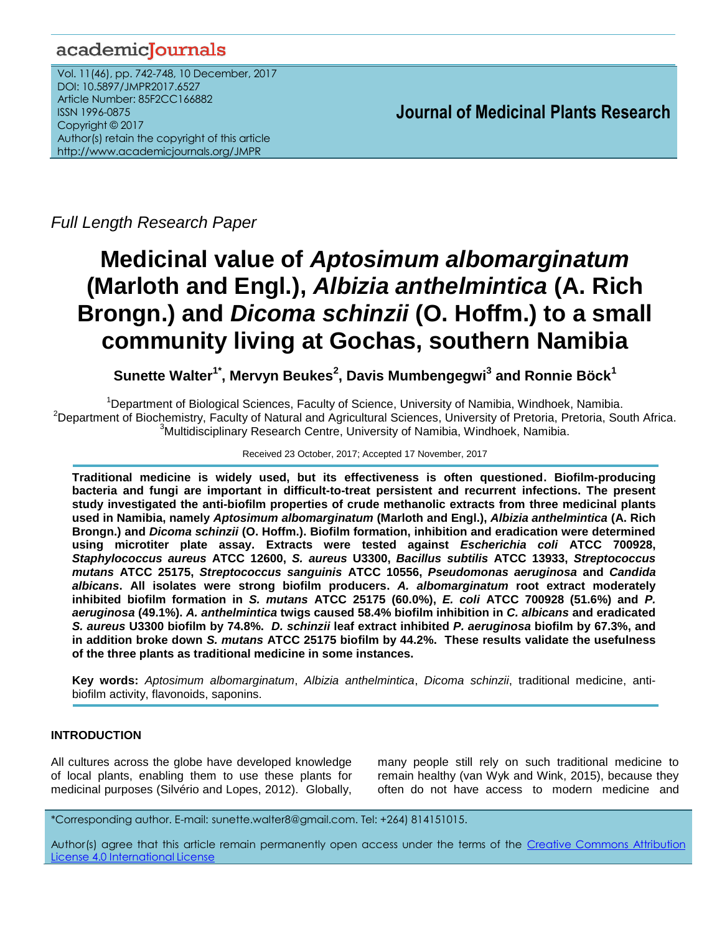# academicJournals

Vol. 11(46), pp. 742-748, 10 December, 2017 DOI: 10.5897/JMPR2017.6527 Article Number: 85F2CC166882 ISSN 1996-0875 Copyright © 2017 Author(s) retain the copyright of this article http://www.academicjournals.org/JMPR

 **Journal of Medicinal Plants Research**

*Full Length Research Paper*

# **Medicinal value of** *Aptosimum albomarginatum* **(Marloth and Engl.),** *Albizia anthelmintica* **(A. Rich Brongn.) and** *Dicoma schinzii* **(O. Hoffm.) to a small community living at Gochas, southern Namibia**

 ${\sf S}$ unette Walter $^{\text{1*}},$  Mervyn Beukes $^{\text{2}},$  Davis Mumbengegwi $^{\text{3}}$  and Ronnie Böck $^{\text{1}}$ 

<sup>1</sup>Department of Biological Sciences, Faculty of Science, University of Namibia, Windhoek, Namibia. <sup>2</sup>Department of Biochemistry, Faculty of Natural and Agricultural Sciences, University of Pretoria, Pretoria, South Africa. <sup>3</sup>Multidisciplinary Research Centre, University of Namibia, Windhoek, Namibia.

### Received 23 October, 2017; Accepted 17 November, 2017

**Traditional medicine is widely used, but its effectiveness is often questioned. Biofilm-producing bacteria and fungi are important in difficult-to-treat persistent and recurrent infections. The present study investigated the anti-biofilm properties of crude methanolic extracts from three medicinal plants used in Namibia, namely** *Aptosimum albomarginatum* **(Marloth and Engl.),** *Albizia anthelmintica* **(A. Rich Brongn.) and** *Dicoma schinzii* **(O. Hoffm.). Biofilm formation, inhibition and eradication were determined using microtiter plate assay. Extracts were tested against** *Escherichia coli* **ATCC 700928,**  *Staphylococcus aureus* **ATCC 12600,** *S. aureus* **U3300,** *Bacillus subtilis* **ATCC 13933,** *Streptococcus mutans* **ATCC 25175,** *Streptococcus sanguinis* **ATCC 10556,** *Pseudomonas aeruginosa* **and** *Candida albicans***. All isolates were strong biofilm producers.** *A. albomarginatum* **root extract moderately inhibited biofilm formation in** *S. mutans* **ATCC 25175 (60.0%),** *E. coli* **ATCC 700928 (51.6%) and** *P. aeruginosa* **(49.1%).** *A. anthelmintica* **twigs caused 58.4% biofilm inhibition in** *C. albicans* **and eradicated**  *S. aureus* **U3300 biofilm by 74.8%.** *D. schinzii* **leaf extract inhibited** *P. aeruginosa* **biofilm by 67.3%, and in addition broke down** *S. mutans* **ATCC 25175 biofilm by 44.2%. These results validate the usefulness of the three plants as traditional medicine in some instances.** 

**Key words:** *Aptosimum albomarginatum*, *Albizia anthelmintica*, *Dicoma schinzii*, traditional medicine, antibiofilm activity, flavonoids, saponins.

# **INTRODUCTION**

All cultures across the globe have developed knowledge of local plants, enabling them to use these plants for medicinal purposes (Silvério and Lopes, 2012). Globally,

many people still rely on such traditional medicine to remain healthy (van Wyk and Wink, 2015), because they often do not have access to modern medicine and

\*Corresponding author. E-mail: sunette.walter8@gmail.com. Tel: +264) 814151015.

Author(s) agree that this article remain permanently open access under the terms of the Creative Commons [Attribution](http://creativecommons.org/licenses/by/4.0/deed.en_US)  License 4.0 [International](http://creativecommons.org/licenses/by/4.0/deed.en_US) License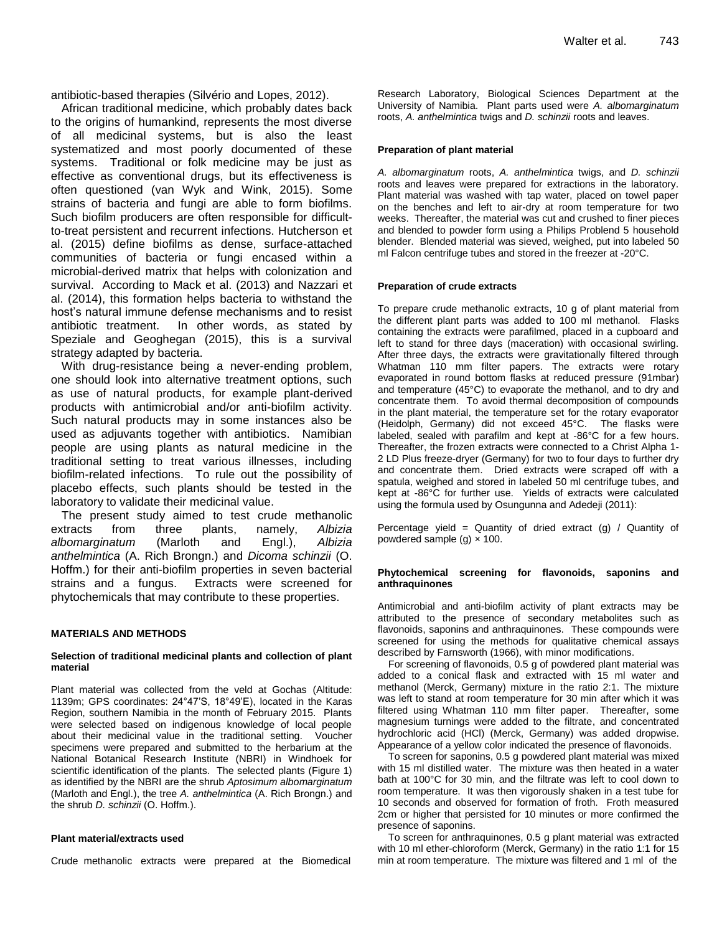antibiotic-based therapies (Silvério and Lopes, 2012).

African traditional medicine, which probably dates back to the origins of humankind, represents the most diverse of all medicinal systems, but is also the least systematized and most poorly documented of these systems. Traditional or folk medicine may be just as effective as conventional drugs, but its effectiveness is often questioned (van Wyk and Wink, 2015). Some strains of bacteria and fungi are able to form biofilms. Such biofilm producers are often responsible for difficultto-treat persistent and recurrent infections. Hutcherson et al. (2015) define biofilms as dense, surface-attached communities of bacteria or fungi encased within a microbial-derived matrix that helps with colonization and survival. According to Mack et al. (2013) and Nazzari et al. (2014), this formation helps bacteria to withstand the host's natural immune defense mechanisms and to resist antibiotic treatment. In other words, as stated by Speziale and Geoghegan (2015), this is a survival strategy adapted by bacteria.

With drug-resistance being a never-ending problem, one should look into alternative treatment options, such as use of natural products, for example plant-derived products with antimicrobial and/or anti-biofilm activity. Such natural products may in some instances also be used as adjuvants together with antibiotics. Namibian people are using plants as natural medicine in the traditional setting to treat various illnesses, including biofilm-related infections. To rule out the possibility of placebo effects, such plants should be tested in the laboratory to validate their medicinal value.

The present study aimed to test crude methanolic extracts from three plants, namely, *Albizia albomarginatum* (Marloth and Engl.), *Albizia anthelmintica* (A. Rich Brongn.) and *Dicoma schinzii* (O. Hoffm.) for their anti-biofilm properties in seven bacterial strains and a fungus. Extracts were screened for phytochemicals that may contribute to these properties.

#### **MATERIALS AND METHODS**

#### **Selection of traditional medicinal plants and collection of plant material**

Plant material was collected from the veld at Gochas (Altitude: 1139m; GPS coordinates: 24°47'S, 18°49'E), located in the Karas Region, southern Namibia in the month of February 2015. Plants were selected based on indigenous knowledge of local people about their medicinal value in the traditional setting. Voucher specimens were prepared and submitted to the herbarium at the National Botanical Research Institute (NBRI) in Windhoek for scientific identification of the plants. The selected plants (Figure 1) as identified by the NBRI are the shrub *Aptosimum albomarginatum* (Marloth and Engl.), the tree *A. anthelmintica* (A. Rich Brongn.) and the shrub *D. schinzii* (O. Hoffm.).

#### **Plant material/extracts used**

Crude methanolic extracts were prepared at the Biomedical

Research Laboratory, Biological Sciences Department at the University of Namibia. Plant parts used were *A. albomarginatum* roots, *A. anthelmintica* twigs and *D. schinzii* roots and leaves.

#### **Preparation of plant material**

*A. albomarginatum* roots, *A. anthelmintica* twigs, and *D. schinzii* roots and leaves were prepared for extractions in the laboratory. Plant material was washed with tap water, placed on towel paper on the benches and left to air-dry at room temperature for two weeks. Thereafter, the material was cut and crushed to finer pieces and blended to powder form using a Philips Problend 5 household blender. Blended material was sieved, weighed, put into labeled 50 ml Falcon centrifuge tubes and stored in the freezer at -20°C.

#### **Preparation of crude extracts**

To prepare crude methanolic extracts, 10 g of plant material from the different plant parts was added to 100 ml methanol. Flasks containing the extracts were parafilmed, placed in a cupboard and left to stand for three days (maceration) with occasional swirling. After three days, the extracts were gravitationally filtered through Whatman 110 mm filter papers. The extracts were rotary evaporated in round bottom flasks at reduced pressure (91mbar) and temperature (45°C) to evaporate the methanol, and to dry and concentrate them. To avoid thermal decomposition of compounds in the plant material, the temperature set for the rotary evaporator (Heidolph, Germany) did not exceed 45°C. The flasks were labeled, sealed with parafilm and kept at -86°C for a few hours. Thereafter, the frozen extracts were connected to a Christ Alpha 1- 2 LD Plus freeze-dryer (Germany) for two to four days to further dry and concentrate them. Dried extracts were scraped off with a spatula, weighed and stored in labeled 50 ml centrifuge tubes, and kept at -86°C for further use. Yields of extracts were calculated using the formula used by Osungunna and Adedeji (2011):

Percentage yield = Quantity of dried extract  $(g)$  / Quantity of powdered sample (g)  $\times$  100.

#### **Phytochemical screening for flavonoids, saponins and anthraquinones**

Antimicrobial and anti-biofilm activity of plant extracts may be attributed to the presence of secondary metabolites such as flavonoids, saponins and anthraquinones. These compounds were screened for using the methods for qualitative chemical assays described by Farnsworth (1966), with minor modifications.

For screening of flavonoids, 0.5 g of powdered plant material was added to a conical flask and extracted with 15 ml water and methanol (Merck, Germany) mixture in the ratio 2:1. The mixture was left to stand at room temperature for 30 min after which it was filtered using Whatman 110 mm filter paper. Thereafter, some magnesium turnings were added to the filtrate, and concentrated hydrochloric acid (HCl) (Merck, Germany) was added dropwise. Appearance of a yellow color indicated the presence of flavonoids.

To screen for saponins, 0.5 g powdered plant material was mixed with 15 ml distilled water. The mixture was then heated in a water bath at 100°C for 30 min, and the filtrate was left to cool down to room temperature. It was then vigorously shaken in a test tube for 10 seconds and observed for formation of froth. Froth measured 2cm or higher that persisted for 10 minutes or more confirmed the presence of saponins.

To screen for anthraquinones, 0.5 g plant material was extracted with 10 ml ether-chloroform (Merck, Germany) in the ratio 1:1 for 15 min at room temperature. The mixture was filtered and 1 ml of the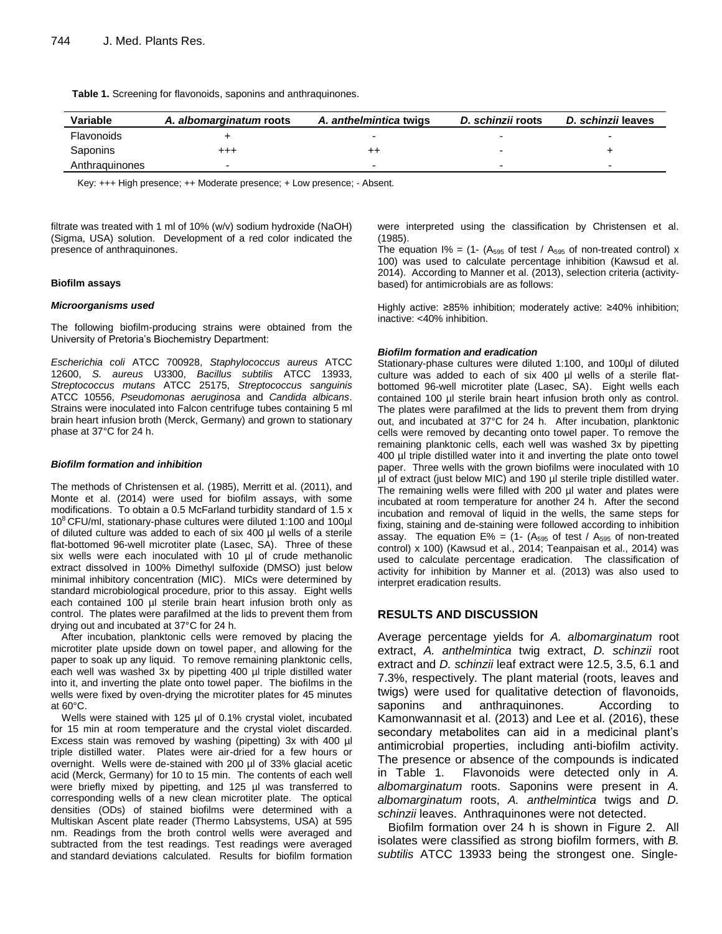**Table 1.** Screening for flavonoids, saponins and anthraquinones.

| Variable       | A. albomarginatum roots | A. anthelmintica twigs   | D. schinzii roots | D. schinzii leaves |
|----------------|-------------------------|--------------------------|-------------------|--------------------|
| Flavonoids     |                         |                          |                   |                    |
| Saponins       | +++                     | ++                       |                   |                    |
| Anthraguinones |                         | $\overline{\phantom{0}}$ |                   |                    |

Key: +++ High presence; ++ Moderate presence; + Low presence; - Absent.

filtrate was treated with 1 ml of 10% (w/v) sodium hydroxide (NaOH) (Sigma, USA) solution. Development of a red color indicated the presence of anthraquinones.

#### **Biofilm assays**

#### *Microorganisms used*

The following biofilm-producing strains were obtained from the University of Pretoria's Biochemistry Department:

*Escherichia coli* ATCC 700928, *Staphylococcus aureus* ATCC 12600, *S. aureus* U3300, *Bacillus subtilis* ATCC 13933, *Streptococcus mutans* ATCC 25175, *Streptococcus sanguinis* ATCC 10556, *Pseudomonas aeruginosa* and *Candida albicans*. Strains were inoculated into Falcon centrifuge tubes containing 5 ml brain heart infusion broth (Merck, Germany) and grown to stationary phase at 37°C for 24 h.

#### *Biofilm formation and inhibition*

The methods of Christensen et al. (1985), Merritt et al. (2011), and Monte et al. (2014) were used for biofilm assays, with some modifications. To obtain a 0.5 McFarland turbidity standard of 1.5 x 10<sup>8</sup>CFU/ml, stationary-phase cultures were diluted 1:100 and 100µl of diluted culture was added to each of six 400 µl wells of a sterile flat-bottomed 96-well microtiter plate (Lasec, SA). Three of these six wells were each inoculated with 10 µl of crude methanolic extract dissolved in 100% Dimethyl sulfoxide (DMSO) just below minimal inhibitory concentration (MIC). MICs were determined by standard microbiological procedure, prior to this assay. Eight wells each contained 100 µl sterile brain heart infusion broth only as control. The plates were parafilmed at the lids to prevent them from drying out and incubated at 37°C for 24 h.

After incubation, planktonic cells were removed by placing the microtiter plate upside down on towel paper, and allowing for the paper to soak up any liquid. To remove remaining planktonic cells, each well was washed 3x by pipetting 400 µl triple distilled water into it, and inverting the plate onto towel paper. The biofilms in the wells were fixed by oven-drying the microtiter plates for 45 minutes at 60°C.

Wells were stained with 125 µl of 0.1% crystal violet, incubated for 15 min at room temperature and the crystal violet discarded. Excess stain was removed by washing (pipetting) 3x with 400 µl triple distilled water. Plates were air-dried for a few hours or overnight. Wells were de-stained with 200 µl of 33% glacial acetic acid (Merck, Germany) for 10 to 15 min. The contents of each well were briefly mixed by pipetting, and 125 µl was transferred to corresponding wells of a new clean microtiter plate. The optical densities (ODs) of stained biofilms were determined with a Multiskan Ascent plate reader (Thermo Labsystems, USA) at 595 nm. Readings from the broth control wells were averaged and subtracted from the test readings. Test readings were averaged and standard deviations calculated. Results for biofilm formation were interpreted using the classification by Christensen et al. (1985).

The equation  $1\% = (1 - (A_{595} \text{ of test } / A_{595} \text{ of non-treated control}) x)$ 100) was used to calculate percentage inhibition (Kawsud et al. 2014). According to Manner et al. (2013), selection criteria (activitybased) for antimicrobials are as follows:

Highly active: ≥85% inhibition; moderately active: ≥40% inhibition; inactive: <40% inhibition.

#### *Biofilm formation and eradication*

Stationary-phase cultures were diluted 1:100, and 100µl of diluted culture was added to each of six 400 µl wells of a sterile flatbottomed 96-well microtiter plate (Lasec, SA). Eight wells each contained 100 µl sterile brain heart infusion broth only as control. The plates were parafilmed at the lids to prevent them from drying out, and incubated at 37°C for 24 h. After incubation, planktonic cells were removed by decanting onto towel paper. To remove the remaining planktonic cells, each well was washed 3x by pipetting 400 µl triple distilled water into it and inverting the plate onto towel paper. Three wells with the grown biofilms were inoculated with 10 µl of extract (just below MIC) and 190 µl sterile triple distilled water. The remaining wells were filled with 200 µl water and plates were incubated at room temperature for another 24 h. After the second incubation and removal of liquid in the wells, the same steps for fixing, staining and de-staining were followed according to inhibition assay. The equation  $E% = (1 - (A<sub>595</sub> of test / A<sub>595</sub> of non-treated)$ control) x 100) (Kawsud et al., 2014; Teanpaisan et al., 2014) was used to calculate percentage eradication. The classification of activity for inhibition by Manner et al. (2013) was also used to interpret eradication results.

# **RESULTS AND DISCUSSION**

Average percentage yields for *A. albomarginatum* root extract, *A. anthelmintica* twig extract, *D. schinzii* root extract and *D. schinzii* leaf extract were 12.5, 3.5, 6.1 and 7.3%, respectively. The plant material (roots, leaves and twigs) were used for qualitative detection of flavonoids, saponins and anthraquinones. According to Kamonwannasit et al. (2013) and Lee et al. (2016), these secondary metabolites can aid in a medicinal plant's antimicrobial properties, including anti-biofilm activity. The presence or absence of the compounds is indicated in Table 1. Flavonoids were detected only in *A. albomarginatum* roots. Saponins were present in *A. albomarginatum* roots, *A. anthelmintica* twigs and *D. schinzii* leaves. Anthraquinones were not detected.

Biofilm formation over 24 h is shown in Figure 2. All isolates were classified as strong biofilm formers, with *B. subtilis* ATCC 13933 being the strongest one. Single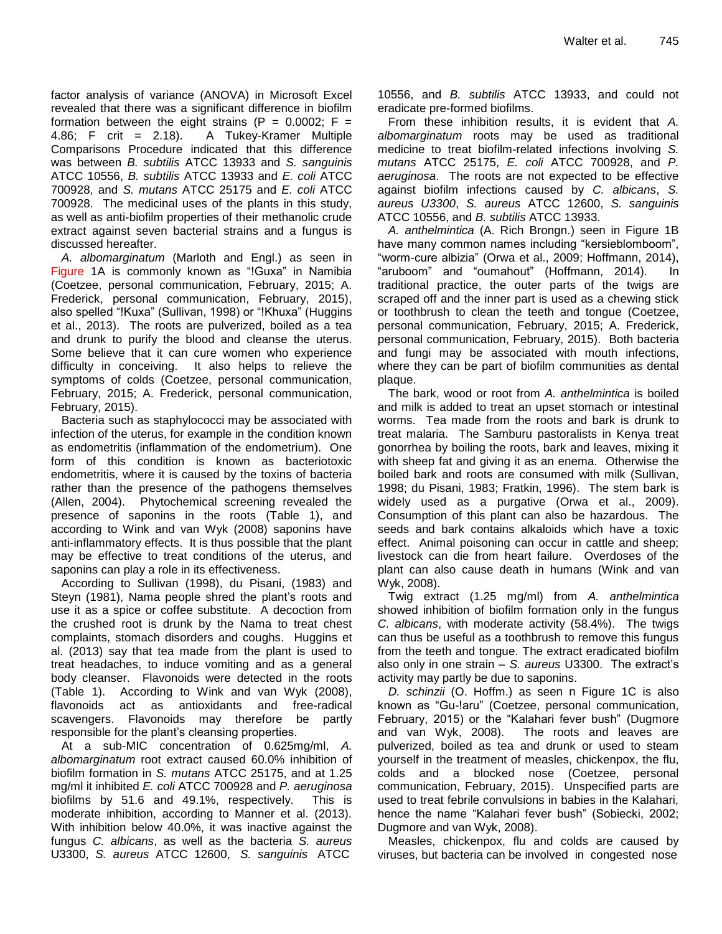factor analysis of variance (ANOVA) in Microsoft Excel revealed that there was a significant difference in biofilm formation between the eight strains (P =  $0.0002$ ; F = 4.86; F crit = 2.18). A Tukey-Kramer Multiple Comparisons Procedure indicated that this difference was between *B. subtilis* ATCC 13933 and *S. sanguinis* ATCC 10556, *B. subtilis* ATCC 13933 and *E. coli* ATCC 700928, and *S. mutans* ATCC 25175 and *E. coli* ATCC 700928. The medicinal uses of the plants in this study, as well as anti-biofilm properties of their methanolic crude extract against seven bacterial strains and a fungus is discussed hereafter.

*A. albomarginatum* (Marloth and Engl.) as seen in Figure 1A is commonly known as "!Guxa" in Namibia (Coetzee, personal communication, February, 2015; A. Frederick, personal communication, February, 2015), also spelled "!Kuxa" (Sullivan, 1998) or "!Khuxa" (Huggins et al., 2013). The roots are pulverized, boiled as a tea and drunk to purify the blood and cleanse the uterus. Some believe that it can cure women who experience difficulty in conceiving. It also helps to relieve the symptoms of colds (Coetzee, personal communication, February, 2015; A. Frederick, personal communication, February, 2015).

Bacteria such as staphylococci may be associated with infection of the uterus, for example in the condition known as endometritis (inflammation of the endometrium). One form of this condition is known as bacteriotoxic endometritis, where it is caused by the toxins of bacteria rather than the presence of the pathogens themselves (Allen, 2004). Phytochemical screening revealed the presence of saponins in the roots (Table 1), and according to Wink and van Wyk (2008) saponins have anti-inflammatory effects. It is thus possible that the plant may be effective to treat conditions of the uterus, and saponins can play a role in its effectiveness.

According to Sullivan (1998), du Pisani, (1983) and Steyn (1981), Nama people shred the plant's roots and use it as a spice or coffee substitute. A decoction from the crushed root is drunk by the Nama to treat chest complaints, stomach disorders and coughs. Huggins et al. (2013) say that tea made from the plant is used to treat headaches, to induce vomiting and as a general body cleanser. Flavonoids were detected in the roots (Table 1). According to Wink and van Wyk (2008), flavonoids act as antioxidants and free-radical scavengers. Flavonoids may therefore be partly responsible for the plant's cleansing properties.

At a sub-MIC concentration of 0.625mg/ml, *A. albomarginatum* root extract caused 60.0% inhibition of biofilm formation in *S. mutans* ATCC 25175, and at 1.25 mg/ml it inhibited *E. coli* ATCC 700928 and *P. aeruginosa* biofilms by 51.6 and 49.1%, respectively. This is moderate inhibition, according to Manner et al. (2013). With inhibition below 40.0%, it was inactive against the fungus *C. albicans*, as well as the bacteria *S. aureus* U3300, *S. aureus* ATCC 12600, *S. sanguinis* ATCC

10556, and *B. subtilis* ATCC 13933, and could not eradicate pre-formed biofilms.

From these inhibition results, it is evident that *A. albomarginatum* roots may be used as traditional medicine to treat biofilm-related infections involving *S. mutans* ATCC 25175, *E. coli* ATCC 700928, and *P. aeruginosa*. The roots are not expected to be effective against biofilm infections caused by *C. albicans*, *S. aureus U3300*, *S. aureus* ATCC 12600, *S. sanguinis* ATCC 10556, and *B. subtilis* ATCC 13933.

*A. anthelmintica* (A. Rich Brongn.) seen in Figure 1B have many common names including "kersieblomboom", "worm-cure albizia" (Orwa et al., 2009; Hoffmann, 2014), "aruboom" and "oumahout" (Hoffmann, 2014). In traditional practice, the outer parts of the twigs are scraped off and the inner part is used as a chewing stick or toothbrush to clean the teeth and tongue (Coetzee, personal communication, February, 2015; A. Frederick, personal communication, February, 2015). Both bacteria and fungi may be associated with mouth infections, where they can be part of biofilm communities as dental plaque.

The bark, wood or root from *A. anthelmintica* is boiled and milk is added to treat an upset stomach or intestinal worms. Tea made from the roots and bark is drunk to treat malaria. The Samburu pastoralists in Kenya treat gonorrhea by boiling the roots, bark and leaves, mixing it with sheep fat and giving it as an enema. Otherwise the boiled bark and roots are consumed with milk (Sullivan, 1998; du Pisani, 1983; Fratkin, 1996). The stem bark is widely used as a purgative (Orwa et al., 2009). Consumption of this plant can also be hazardous. The seeds and bark contains alkaloids which have a toxic effect. Animal poisoning can occur in cattle and sheep; livestock can die from heart failure. Overdoses of the plant can also cause death in humans (Wink and van Wyk, 2008).

Twig extract (1.25 mg/ml) from *A. anthelmintica* showed inhibition of biofilm formation only in the fungus *C. albicans*, with moderate activity (58.4%). The twigs can thus be useful as a toothbrush to remove this fungus from the teeth and tongue. The extract eradicated biofilm also only in one strain – *S. aureus* U3300. The extract's activity may partly be due to saponins.

*D. schinzii* (O. Hoffm.) as seen n Figure 1C is also known as "Gu-!aru" (Coetzee, personal communication, February, 2015) or the "Kalahari fever bush" (Dugmore and van Wyk, 2008). The roots and leaves are pulverized, boiled as tea and drunk or used to steam yourself in the treatment of measles, chickenpox, the flu, colds and a blocked nose (Coetzee, personal communication, February, 2015). Unspecified parts are used to treat febrile convulsions in babies in the Kalahari, hence the name "Kalahari fever bush" (Sobiecki, 2002; Dugmore and van Wyk, 2008).

Measles, chickenpox, flu and colds are caused by viruses, but bacteria can be involved in congested nose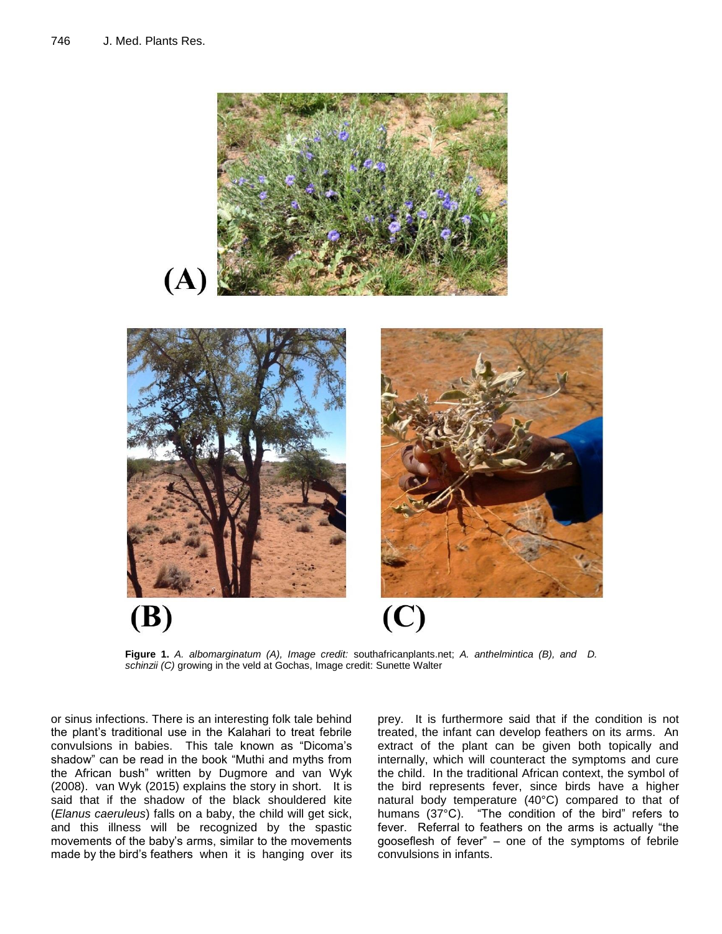

**Figure 1.** *A. albomarginatum (A), Image credit:* southafricanplants.net; *A. anthelmintica (B), and D. schinzii (C)* growing in the veld at Gochas, Image credit: Sunette Walter

or sinus infections. There is an interesting folk tale behind the plant's traditional use in the Kalahari to treat febrile convulsions in babies. This tale known as "Dicoma's shadow" can be read in the book "Muthi and myths from the African bush" written by Dugmore and van Wyk (2008). van Wyk (2015) explains the story in short. It is said that if the shadow of the black shouldered kite (*Elanus caeruleus*) falls on a baby, the child will get sick, and this illness will be recognized by the spastic movements of the baby's arms, similar to the movements made by the bird's feathers when it is hanging over its

prey. It is furthermore said that if the condition is not treated, the infant can develop feathers on its arms. An extract of the plant can be given both topically and internally, which will counteract the symptoms and cure the child. In the traditional African context, the symbol of the bird represents fever, since birds have a higher natural body temperature (40°C) compared to that of humans (37°C). "The condition of the bird" refers to fever. Referral to feathers on the arms is actually "the gooseflesh of fever" – one of the symptoms of febrile convulsions in infants.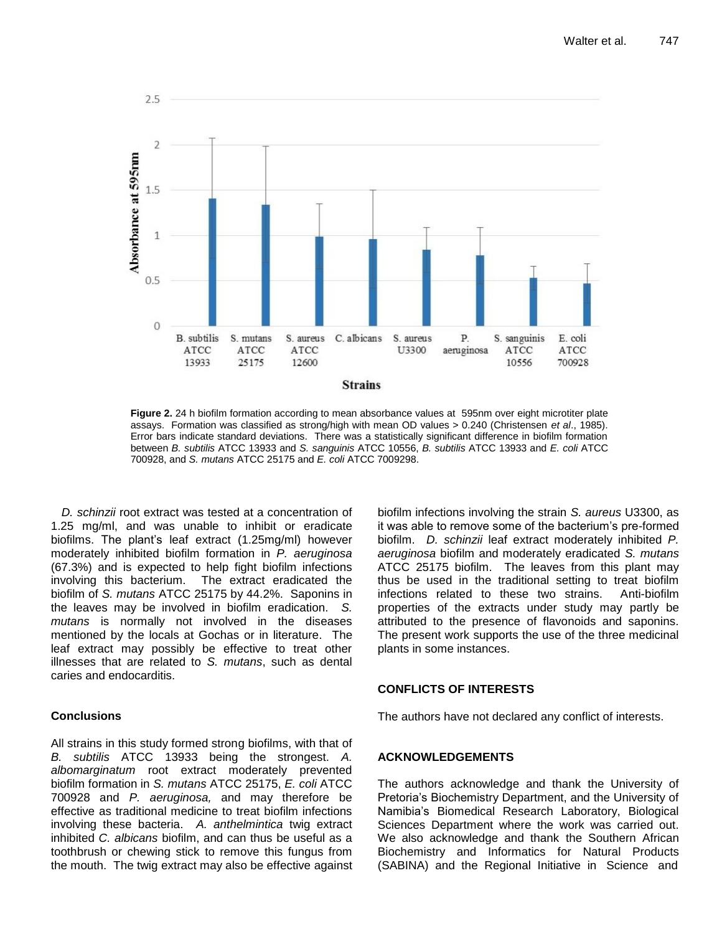

**Figure 2.** 24 h biofilm formation according to mean absorbance values at 595nm over eight microtiter plate assays. Formation was classified as strong/high with mean OD values > 0.240 (Christensen *et al*., 1985). Error bars indicate standard deviations. There was a statistically significant difference in biofilm formation between *B. subtilis* ATCC 13933 and *S. sanguinis* ATCC 10556, *B. subtilis* ATCC 13933 and *E. coli* ATCC 700928, and *S. mutans* ATCC 25175 and *E. coli* ATCC 7009298.

*D. schinzii* root extract was tested at a concentration of 1.25 mg/ml, and was unable to inhibit or eradicate biofilms. The plant's leaf extract (1.25mg/ml) however moderately inhibited biofilm formation in *P. aeruginosa* (67.3%) and is expected to help fight biofilm infections involving this bacterium. The extract eradicated the biofilm of *S. mutans* ATCC 25175 by 44.2%. Saponins in the leaves may be involved in biofilm eradication. *S. mutans* is normally not involved in the diseases mentioned by the locals at Gochas or in literature. The leaf extract may possibly be effective to treat other illnesses that are related to *S. mutans*, such as dental caries and endocarditis.

# **Conclusions**

All strains in this study formed strong biofilms, with that of *B. subtilis* ATCC 13933 being the strongest. *A. albomarginatum* root extract moderately prevented biofilm formation in *S. mutans* ATCC 25175, *E. coli* ATCC 700928 and *P. aeruginosa,* and may therefore be effective as traditional medicine to treat biofilm infections involving these bacteria. *A. anthelmintica* twig extract inhibited *C. albicans* biofilm, and can thus be useful as a toothbrush or chewing stick to remove this fungus from the mouth. The twig extract may also be effective against

biofilm infections involving the strain *S. aureus* U3300, as it was able to remove some of the bacterium's pre-formed biofilm. *D. schinzii* leaf extract moderately inhibited *P. aeruginosa* biofilm and moderately eradicated *S. mutans* ATCC 25175 biofilm. The leaves from this plant may thus be used in the traditional setting to treat biofilm infections related to these two strains. Anti-biofilm properties of the extracts under study may partly be attributed to the presence of flavonoids and saponins. The present work supports the use of the three medicinal plants in some instances.

# **CONFLICTS OF INTERESTS**

The authors have not declared any conflict of interests.

# **ACKNOWLEDGEMENTS**

The authors acknowledge and thank the University of Pretoria's Biochemistry Department, and the University of Namibia's Biomedical Research Laboratory, Biological Sciences Department where the work was carried out. We also acknowledge and thank the Southern African Biochemistry and Informatics for Natural Products (SABINA) and the Regional Initiative in Science and